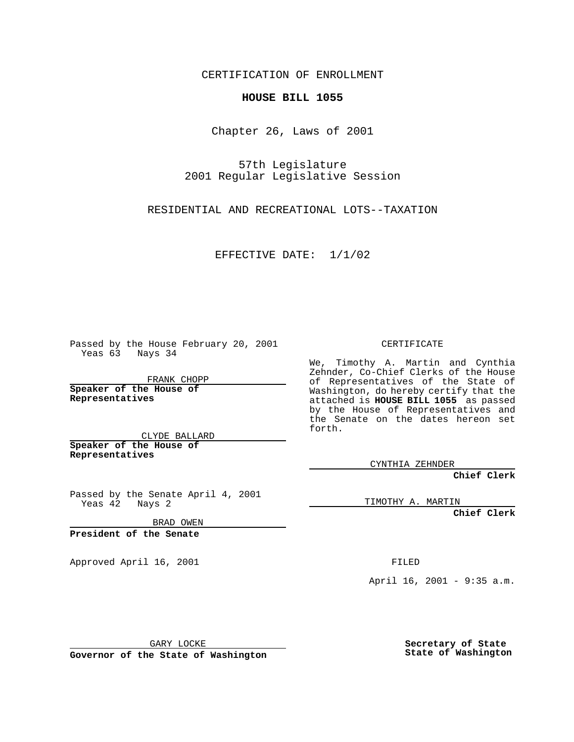CERTIFICATION OF ENROLLMENT

## **HOUSE BILL 1055**

Chapter 26, Laws of 2001

57th Legislature 2001 Regular Legislative Session

RESIDENTIAL AND RECREATIONAL LOTS--TAXATION

EFFECTIVE DATE: 1/1/02

Passed by the House February 20, 2001 Yeas 63 Nays 34

FRANK CHOPP

**Speaker of the House of Representatives**

CLYDE BALLARD **Speaker of the House of**

**Representatives**

Passed by the Senate April 4, 2001 Yeas 42 Nays 2

BRAD OWEN

**President of the Senate**

Approved April 16, 2001 FILED

## CERTIFICATE

We, Timothy A. Martin and Cynthia Zehnder, Co-Chief Clerks of the House of Representatives of the State of Washington, do hereby certify that the attached is **HOUSE BILL 1055** as passed by the House of Representatives and the Senate on the dates hereon set forth.

CYNTHIA ZEHNDER

**Chief Clerk**

TIMOTHY A. MARTIN

**Chief Clerk**

April 16, 2001 - 9:35 a.m.

GARY LOCKE

**Governor of the State of Washington**

**Secretary of State State of Washington**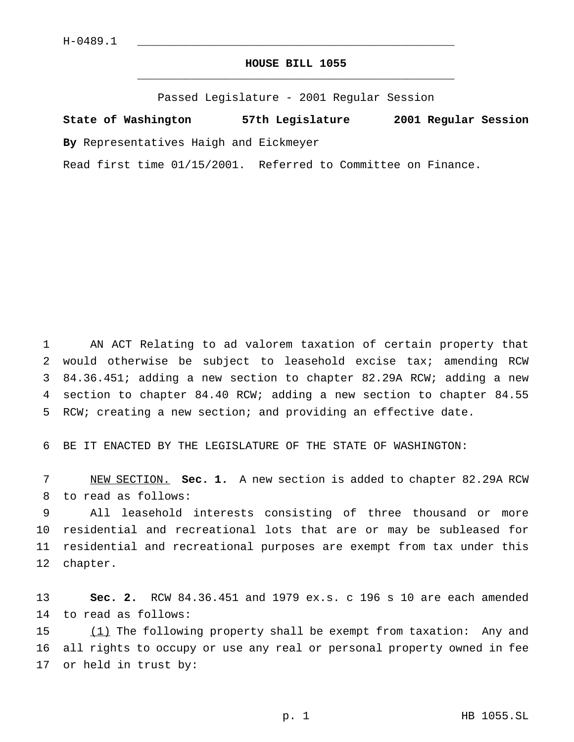## **HOUSE BILL 1055** \_\_\_\_\_\_\_\_\_\_\_\_\_\_\_\_\_\_\_\_\_\_\_\_\_\_\_\_\_\_\_\_\_\_\_\_\_\_\_\_\_\_\_\_\_\_\_

Passed Legislature - 2001 Regular Session

**State of Washington 57th Legislature 2001 Regular Session**

**By** Representatives Haigh and Eickmeyer

Read first time 01/15/2001. Referred to Committee on Finance.

 AN ACT Relating to ad valorem taxation of certain property that would otherwise be subject to leasehold excise tax; amending RCW 84.36.451; adding a new section to chapter 82.29A RCW; adding a new section to chapter 84.40 RCW; adding a new section to chapter 84.55 RCW; creating a new section; and providing an effective date.

BE IT ENACTED BY THE LEGISLATURE OF THE STATE OF WASHINGTON:

 NEW SECTION. **Sec. 1.** A new section is added to chapter 82.29A RCW to read as follows:

 All leasehold interests consisting of three thousand or more residential and recreational lots that are or may be subleased for residential and recreational purposes are exempt from tax under this chapter.

 **Sec. 2.** RCW 84.36.451 and 1979 ex.s. c 196 s 10 are each amended to read as follows:

15 (1) The following property shall be exempt from taxation: Any and all rights to occupy or use any real or personal property owned in fee or held in trust by: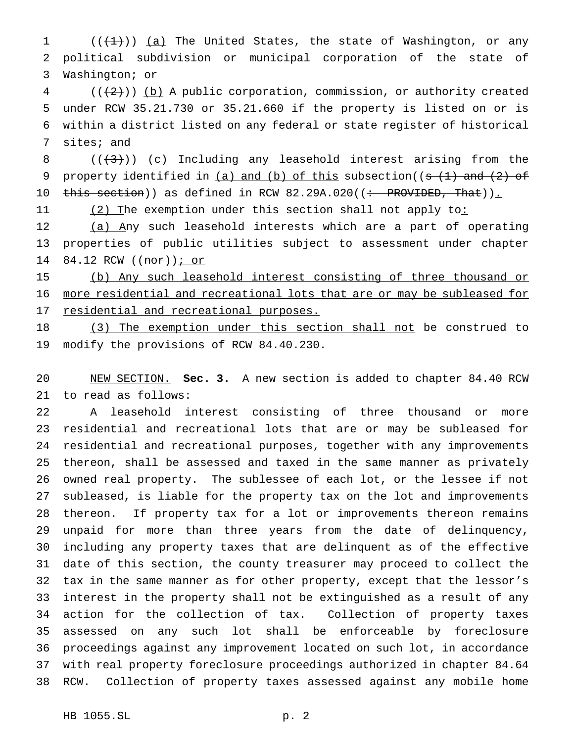1  $((+1))$   $(a)$  The United States, the state of Washington, or any political subdivision or municipal corporation of the state of Washington; or

 (( $(2)$ )) (b) A public corporation, commission, or authority created under RCW 35.21.730 or 35.21.660 if the property is listed on or is within a district listed on any federal or state register of historical sites; and

8  $((+3))$   $(c)$  Including any leasehold interest arising from the 9 property identified in  $(a)$  and  $(b)$  of this subsection( $(s$   $(1)$  and  $(2)$  of 10 this section)) as defined in RCW 82.29A.020((: PROVIDED, That)).

11 (2) The exemption under this section shall not apply to:

 (a) Any such leasehold interests which are a part of operating properties of public utilities subject to assessment under chapter 14 84.12 RCW ((nor)) *j* or

 (b) Any such leasehold interest consisting of three thousand or more residential and recreational lots that are or may be subleased for 17 residential and recreational purposes.

18 (3) The exemption under this section shall not be construed to modify the provisions of RCW 84.40.230.

 NEW SECTION. **Sec. 3.** A new section is added to chapter 84.40 RCW to read as follows:

 A leasehold interest consisting of three thousand or more residential and recreational lots that are or may be subleased for residential and recreational purposes, together with any improvements thereon, shall be assessed and taxed in the same manner as privately owned real property. The sublessee of each lot, or the lessee if not subleased, is liable for the property tax on the lot and improvements thereon. If property tax for a lot or improvements thereon remains unpaid for more than three years from the date of delinquency, including any property taxes that are delinquent as of the effective date of this section, the county treasurer may proceed to collect the tax in the same manner as for other property, except that the lessor's interest in the property shall not be extinguished as a result of any action for the collection of tax. Collection of property taxes assessed on any such lot shall be enforceable by foreclosure proceedings against any improvement located on such lot, in accordance with real property foreclosure proceedings authorized in chapter 84.64 RCW. Collection of property taxes assessed against any mobile home